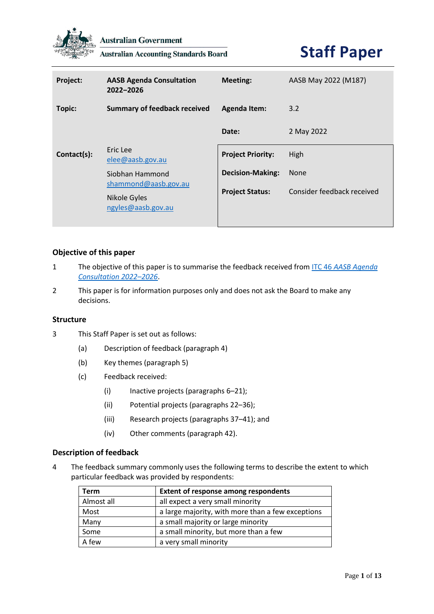

**Australian Government** 

**Australian Accounting Standards Board** 

# **Staff Paper**

| Project:    | <b>AASB Agenda Consultation</b><br>2022-2026                                  | <b>Meeting:</b>          | AASB May 2022 (M187)       |
|-------------|-------------------------------------------------------------------------------|--------------------------|----------------------------|
| Topic:      | <b>Summary of feedback received</b>                                           | <b>Agenda Item:</b>      | 3.2                        |
|             |                                                                               | Date:                    | 2 May 2022                 |
| Contact(s): | Eric Lee<br>elee@aasb.gov.au                                                  | <b>Project Priority:</b> | High                       |
|             | Siobhan Hammond<br>shammond@aasb.gov.au<br>Nikole Gyles<br>ngyles@aasb.gov.au | <b>Decision-Making:</b>  | <b>None</b>                |
|             |                                                                               | <b>Project Status:</b>   | Consider feedback received |

## **Objective of this paper**

- 1 The objective of this paper is to summarise the feedback received from ITC 46 *[AASB Agenda](https://aasb.gov.au/admin/file/content105/c9/ITC46_10-21.pdf)  [Consultation 2022](https://aasb.gov.au/admin/file/content105/c9/ITC46_10-21.pdf)–2026*.
- 2 This paper is for information purposes only and does not ask the Board to make any decisions.

## **Structure**

- 3 This Staff Paper is set out as follows:
	- (a) Description of feedback (paragraph 4)
	- (b) Key themes (paragraph 5)
	- (c) Feedback received:
		- (i) Inactive projects (paragraphs 6–21);
		- (ii) Potential projects (paragraphs 22–36);
		- (iii) Research projects (paragraphs 37–41); and
		- (iv) Other comments (paragraph 42).

## **Description of feedback**

4 The feedback summary commonly uses the following terms to describe the extent to which particular feedback was provided by respondents:

| <b>Term</b> | <b>Extent of response among respondents</b>       |
|-------------|---------------------------------------------------|
| Almost all  | all expect a very small minority                  |
| Most        | a large majority, with more than a few exceptions |
| Many        | a small majority or large minority                |
| Some        | a small minority, but more than a few             |
| A few       | a very small minority                             |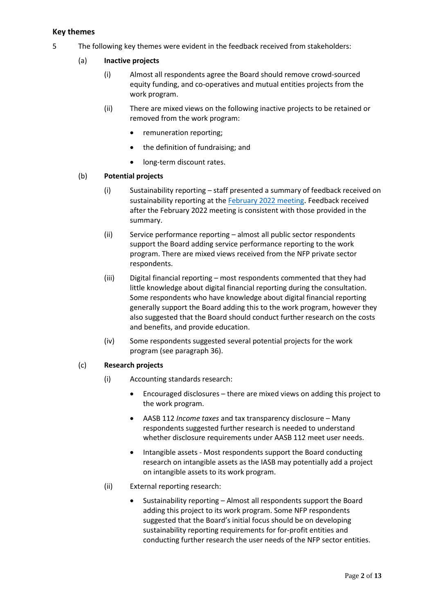## **Key themes**

- 5 The following key themes were evident in the feedback received from stakeholders:
	- (a) **Inactive projects**
		- (i) Almost all respondents agree the Board should remove crowd-sourced equity funding, and co-operatives and mutual entities projects from the work program.
		- (ii) There are mixed views on the following inactive projects to be retained or removed from the work program:
			- remuneration reporting;
			- the definition of fundraising; and
			- long-term discount rates.

## (b) **Potential projects**

- (i) Sustainability reporting staff presented a summary of feedback received on sustainability reporting at the [February 2022 meeting](https://www.aasb.gov.au/media/ylwp41rf/3-4_sr_feedbacksummary_itc46_m185_pp.pdf). Feedback received after the February 2022 meeting is consistent with those provided in the summary.
- (ii) Service performance reporting almost all public sector respondents support the Board adding service performance reporting to the work program. There are mixed views received from the NFP private sector respondents.
- (iii) Digital financial reporting most respondents commented that they had little knowledge about digital financial reporting during the consultation. Some respondents who have knowledge about digital financial reporting generally support the Board adding this to the work program, however they also suggested that the Board should conduct further research on the costs and benefits, and provide education.
- (iv) Some respondents suggested several potential projects for the work program (see paragraph 36).

## (c) **Research projects**

- (i) Accounting standards research:
	- Encouraged disclosures there are mixed views on adding this project to the work program.
	- AASB 112 *Income taxes* and tax transparency disclosure Many respondents suggested further research is needed to understand whether disclosure requirements under AASB 112 meet user needs.
	- Intangible assets Most respondents support the Board conducting research on intangible assets as the IASB may potentially add a project on intangible assets to its work program.
- (ii) External reporting research:
	- Sustainability reporting Almost all respondents support the Board adding this project to its work program. Some NFP respondents suggested that the Board's initial focus should be on developing sustainability reporting requirements for for-profit entities and conducting further research the user needs of the NFP sector entities.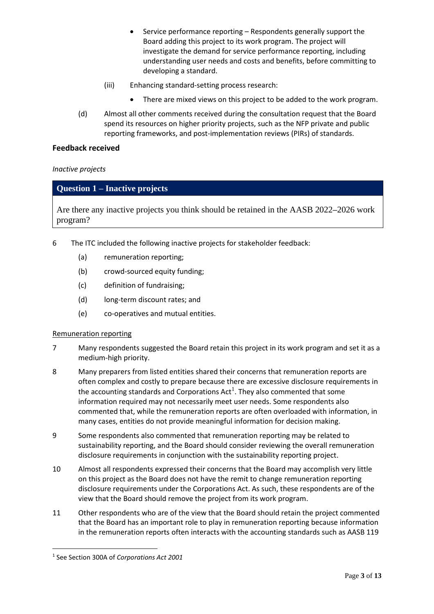- Service performance reporting Respondents generally support the Board adding this project to its work program. The project will investigate the demand for service performance reporting, including understanding user needs and costs and benefits, before committing to developing a standard.
- (iii) Enhancing standard-setting process research:
	- There are mixed views on this project to be added to the work program.
- (d) Almost all other comments received during the consultation request that the Board spend its resources on higher priority projects, such as the NFP private and public reporting frameworks, and post-implementation reviews (PIRs) of standards.

## **Feedback received**

*Inactive projects*

## **Question 1 – Inactive projects**

Are there any inactive projects you think should be retained in the AASB 2022**–**2026 work program?

- 6 The ITC included the following inactive projects for stakeholder feedback:
	- (a) remuneration reporting;
	- (b) crowd-sourced equity funding;
	- (c) definition of fundraising;
	- (d) long-term discount rates; and
	- (e) co-operatives and mutual entities.

## Remuneration reporting

- 7 Many respondents suggested the Board retain this project in its work program and set it as a medium-high priority.
- 8 Many preparers from listed entities shared their concerns that remuneration reports are often complex and costly to prepare because there are excessive disclosure requirements in the accounting standards and Corporations Act $^1$ . They also commented that some information required may not necessarily meet user needs. Some respondents also commented that, while the remuneration reports are often overloaded with information, in many cases, entities do not provide meaningful information for decision making.
- 9 Some respondents also commented that remuneration reporting may be related to sustainability reporting, and the Board should consider reviewing the overall remuneration disclosure requirements in conjunction with the sustainability reporting project.
- 10 Almost all respondents expressed their concerns that the Board may accomplish very little on this project as the Board does not have the remit to change remuneration reporting disclosure requirements under the Corporations Act. As such, these respondents are of the view that the Board should remove the project from its work program.
- 11 Other respondents who are of the view that the Board should retain the project commented that the Board has an important role to play in remuneration reporting because information in the remuneration reports often interacts with the accounting standards such as AASB 119

<sup>1</sup> See Section 300A of *Corporations Act 2001*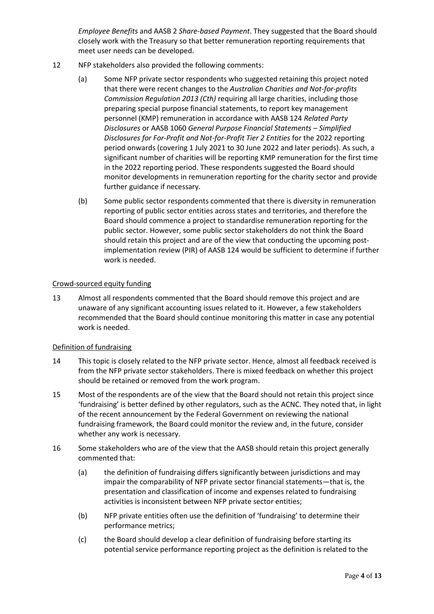*Employee Benefits* and AASB 2 *Share-based Payment*. They suggested that the Board should closely work with the Treasury so that better remuneration reporting requirements that meet user needs can be developed.

- 12 NFP stakeholders also provided the following comments:
	- (a) Some NFP private sector respondents who suggested retaining this project noted that there were recent changes to the *Australian Charities and Not-for-profits Commission Regulation 2013 (Cth)* requiring all large charities, including those preparing special purpose financial statements, to report key management personnel (KMP) remuneration in accordance with AASB 124 *Related Party Disclosures* or AASB 1060 *General Purpose Financial Statements – Simplified Disclosures for For-Profit and Not-for-Profit Tier 2 Entities* for the 2022 reporting period onwards (covering 1 July 2021 to 30 June 2022 and later periods). As such, a significant number of charities will be reporting KMP remuneration for the first time in the 2022 reporting period. These respondents suggested the Board should monitor developments in remuneration reporting for the charity sector and provide further guidance if necessary.
	- (b) Some public sector respondents commented that there is diversity in remuneration reporting of public sector entities across states and territories, and therefore the Board should commence a project to standardise remuneration reporting for the public sector. However, some public sector stakeholders do not think the Board should retain this project and are of the view that conducting the upcoming postimplementation review (PIR) of AASB 124 would be sufficient to determine if further work is needed.

## Crowd-sourced equity funding

13 Almost all respondents commented that the Board should remove this project and are unaware of any significant accounting issues related to it. However, a few stakeholders recommended that the Board should continue monitoring this matter in case any potential work is needed.

## Definition of fundraising

- 14 This topic is closely related to the NFP private sector. Hence, almost all feedback received is from the NFP private sector stakeholders. There is mixed feedback on whether this project should be retained or removed from the work program.
- 15 Most of the respondents are of the view that the Board should not retain this project since 'fundraising' is better defined by other regulators, such as the ACNC. They noted that, in light of the recent announcement by the Federal Government on reviewing the national fundraising framework, the Board could monitor the review and, in the future, consider whether any work is necessary.
- 16 Some stakeholders who are of the view that the AASB should retain this project generally commented that:
	- (a) the definition of fundraising differs significantly between jurisdictions and may impair the comparability of NFP private sector financial statements—that is, the presentation and classification of income and expenses related to fundraising activities is inconsistent between NFP private sector entities;
	- (b) NFP private entities often use the definition of 'fundraising' to determine their performance metrics;
	- (c) the Board should develop a clear definition of fundraising before starting its potential service performance reporting project as the definition is related to the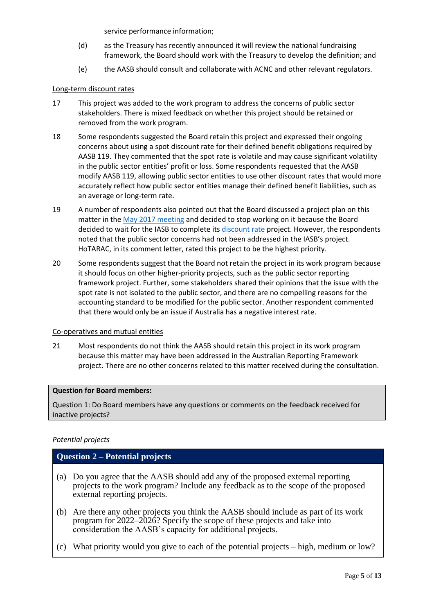service performance information;

- (d) as the Treasury has recently announced it will review the national fundraising framework, the Board should work with the Treasury to develop the definition; and
- (e) the AASB should consult and collaborate with ACNC and other relevant regulators.

## Long-term discount rates

- 17 This project was added to the work program to address the concerns of public sector stakeholders. There is mixed feedback on whether this project should be retained or removed from the work program.
- 18 Some respondents suggested the Board retain this project and expressed their ongoing concerns about using a spot discount rate for their defined benefit obligations required by AASB 119. They commented that the spot rate is volatile and may cause significant volatility in the public sector entities' profit or loss. Some respondents requested that the AASB modify AASB 119, allowing public sector entities to use other discount rates that would more accurately reflect how public sector entities manage their defined benefit liabilities, such as an average or long-term rate.
- 19 A number of respondents also pointed out that the Board discussed a project plan on this matter in the [May 2017 meeting](https://www.aasb.gov.au/admin/file/content102/c3/3.7_Defined-benefit-discounting_M157.pdf) and decided to stop working on it because the Board decided to wait for the IASB to complete its [discount rate](https://www.ifrs.org/projects/completed-projects/2019/discount-rates/) project. However, the respondents noted that the public sector concerns had not been addressed in the IASB's project. HoTARAC, in its comment letter, rated this project to be the highest priority.
- 20 Some respondents suggest that the Board not retain the project in its work program because it should focus on other higher-priority projects, such as the public sector reporting framework project. Further, some stakeholders shared their opinions that the issue with the spot rate is not isolated to the public sector, and there are no compelling reasons for the accounting standard to be modified for the public sector. Another respondent commented that there would only be an issue if Australia has a negative interest rate.

## Co-operatives and mutual entities

21 Most respondents do not think the AASB should retain this project in its work program because this matter may have been addressed in the Australian Reporting Framework project. There are no other concerns related to this matter received during the consultation.

## **Question for Board members:**

Question 1: Do Board members have any questions or comments on the feedback received for inactive projects?

## *Potential projects*

## **Question 2 – Potential projects**

- (a) Do you agree that the AASB should add any of the proposed external reporting projects to the work program? Include any feedback as to the scope of the proposed external reporting projects.
- (b) Are there any other projects you think the AASB should include as part of its work program for 2022–2026? Specify the scope of these projects and take into consideration the AASB's capacity for additional projects.
- (c) What priority would you give to each of the potential projects high, medium or low?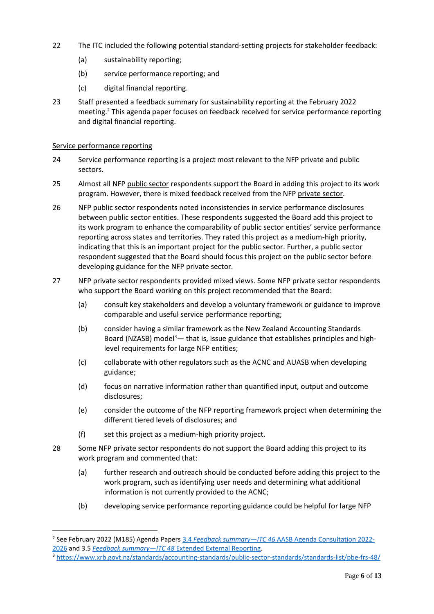- 22 The ITC included the following potential standard-setting projects for stakeholder feedback:
	- (a) sustainability reporting;
	- (b) service performance reporting; and
	- (c) digital financial reporting.
- 23 Staff presented a feedback summary for sustainability reporting at the February 2022 meeting. <sup>2</sup> This agenda paper focuses on feedback received for service performance reporting and digital financial reporting.

## Service performance reporting

- 24 Service performance reporting is a project most relevant to the NFP private and public sectors.
- 25 Almost all NFP public sector respondents support the Board in adding this project to its work program. However, there is mixed feedback received from the NFP private sector.
- 26 NFP public sector respondents noted inconsistencies in service performance disclosures between public sector entities. These respondents suggested the Board add this project to its work program to enhance the comparability of public sector entities' service performance reporting across states and territories. They rated this project as a medium-high priority, indicating that this is an important project for the public sector. Further, a public sector respondent suggested that the Board should focus this project on the public sector before developing guidance for the NFP private sector.
- 27 NFP private sector respondents provided mixed views. Some NFP private sector respondents who support the Board working on this project recommended that the Board:
	- (a) consult key stakeholders and develop a voluntary framework or guidance to improve comparable and useful service performance reporting;
	- (b) consider having a similar framework as the New Zealand Accounting Standards Board (NZASB) model<sup>3</sup>— that is, issue guidance that establishes principles and highlevel requirements for large NFP entities;
	- (c) collaborate with other regulators such as the ACNC and AUASB when developing guidance;
	- (d) focus on narrative information rather than quantified input, output and outcome disclosures;
	- (e) consider the outcome of the NFP reporting framework project when determining the different tiered levels of disclosures; and
	- (f) set this project as a medium-high priority project.
- 28 Some NFP private sector respondents do not support the Board adding this project to its work program and commented that:
	- (a) further research and outreach should be conducted before adding this project to the work program, such as identifying user needs and determining what additional information is not currently provided to the ACNC;
	- (b) developing service performance reporting guidance could be helpful for large NFP

<sup>2</sup> See February 2022 (M185) Agenda Papers 3.4 *Feedback summary—ITC 46* [AASB Agenda Consultation 2022-](https://www.aasb.gov.au/media/ylwp41rf/3-4_sr_feedbacksummary_itc46_m185_pp.pdf) [2026](https://www.aasb.gov.au/media/ylwp41rf/3-4_sr_feedbacksummary_itc46_m185_pp.pdf) and 3.5 *Feedback summary—ITC 48* [Extended External Reporting.](https://www.aasb.gov.au/media/kjybqlid/3-5-0_sr_feedbacksummary_itc48_m185_pp.pdf)

<sup>3</sup> <https://www.xrb.govt.nz/standards/accounting-standards/public-sector-standards/standards-list/pbe-frs-48/>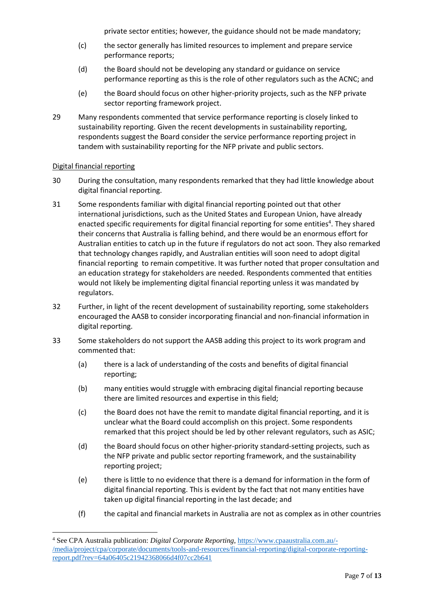private sector entities; however, the guidance should not be made mandatory;

- (c) the sector generally has limited resources to implement and prepare service performance reports;
- (d) the Board should not be developing any standard or guidance on service performance reporting as this is the role of other regulators such as the ACNC; and
- (e) the Board should focus on other higher-priority projects, such as the NFP private sector reporting framework project.
- 29 Many respondents commented that service performance reporting is closely linked to sustainability reporting. Given the recent developments in sustainability reporting, respondents suggest the Board consider the service performance reporting project in tandem with sustainability reporting for the NFP private and public sectors.

## Digital financial reporting

- 30 During the consultation, many respondents remarked that they had little knowledge about digital financial reporting.
- 31 Some respondents familiar with digital financial reporting pointed out that other international jurisdictions, such as the United States and European Union, have already enacted specific requirements for digital financial reporting for some entities<sup>4</sup>. They shared their concerns that Australia is falling behind, and there would be an enormous effort for Australian entities to catch up in the future if regulators do not act soon. They also remarked that technology changes rapidly, and Australian entities will soon need to adopt digital financial reporting to remain competitive. It was further noted that proper consultation and an education strategy for stakeholders are needed. Respondents commented that entities would not likely be implementing digital financial reporting unless it was mandated by regulators.
- 32 Further, in light of the recent development of sustainability reporting, some stakeholders encouraged the AASB to consider incorporating financial and non-financial information in digital reporting.
- 33 Some stakeholders do not support the AASB adding this project to its work program and commented that:
	- (a) there is a lack of understanding of the costs and benefits of digital financial reporting;
	- (b) many entities would struggle with embracing digital financial reporting because there are limited resources and expertise in this field;
	- (c) the Board does not have the remit to mandate digital financial reporting, and it is unclear what the Board could accomplish on this project. Some respondents remarked that this project should be led by other relevant regulators, such as ASIC;
	- (d) the Board should focus on other higher-priority standard-setting projects, such as the NFP private and public sector reporting framework, and the sustainability reporting project;
	- (e) there is little to no evidence that there is a demand for information in the form of digital financial reporting. This is evident by the fact that not many entities have taken up digital financial reporting in the last decade; and
	- (f) the capital and financial markets in Australia are not as complex as in other countries

<sup>4</sup> See CPA Australia publication: *Digital Corporate Reporting*, [https://www.cpaaustralia.com.au/-](https://www.cpaaustralia.com.au/-/media/project/cpa/corporate/documents/tools-and-resources/financial-reporting/digital-corporate-reporting-report.pdf?rev=64a06405c21942368066d4f07cc2b641) [/media/project/cpa/corporate/documents/tools-and-resources/financial-reporting/digital-corporate-reporting](https://www.cpaaustralia.com.au/-/media/project/cpa/corporate/documents/tools-and-resources/financial-reporting/digital-corporate-reporting-report.pdf?rev=64a06405c21942368066d4f07cc2b641)[report.pdf?rev=64a06405c21942368066d4f07cc2b641](https://www.cpaaustralia.com.au/-/media/project/cpa/corporate/documents/tools-and-resources/financial-reporting/digital-corporate-reporting-report.pdf?rev=64a06405c21942368066d4f07cc2b641)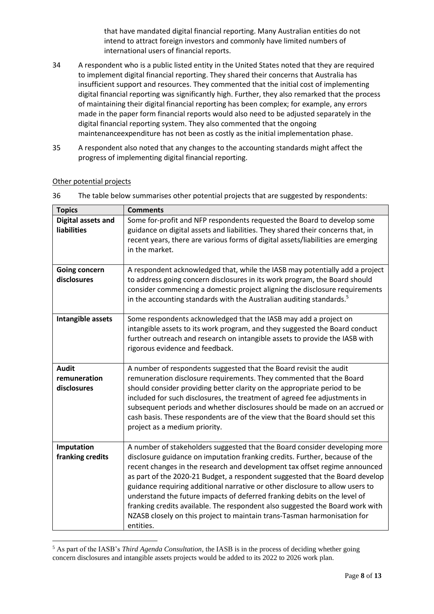that have mandated digital financial reporting. Many Australian entities do not intend to attract foreign investors and commonly have limited numbers of international users of financial reports.

- 34 A respondent who is a public listed entity in the United States noted that they are required to implement digital financial reporting. They shared their concerns that Australia has insufficient support and resources. They commented that the initial cost of implementing digital financial reporting was significantly high. Further, they also remarked that the process of maintaining their digital financial reporting has been complex; for example, any errors made in the paper form financial reports would also need to be adjusted separately in the digital financial reporting system. They also commented that the ongoing maintenanceexpenditure has not been as costly as the initial implementation phase.
- 35 A respondent also noted that any changes to the accounting standards might affect the progress of implementing digital financial reporting.

| <b>Topics</b>                               | <b>Comments</b>                                                                                                                                                                                                                                                                                                                                                                                                                                                                                                                                                                                                                                                 |  |  |  |
|---------------------------------------------|-----------------------------------------------------------------------------------------------------------------------------------------------------------------------------------------------------------------------------------------------------------------------------------------------------------------------------------------------------------------------------------------------------------------------------------------------------------------------------------------------------------------------------------------------------------------------------------------------------------------------------------------------------------------|--|--|--|
| Digital assets and<br><b>liabilities</b>    | Some for-profit and NFP respondents requested the Board to develop some<br>guidance on digital assets and liabilities. They shared their concerns that, in<br>recent years, there are various forms of digital assets/liabilities are emerging<br>in the market.                                                                                                                                                                                                                                                                                                                                                                                                |  |  |  |
| <b>Going concern</b><br>disclosures         | A respondent acknowledged that, while the IASB may potentially add a project<br>to address going concern disclosures in its work program, the Board should<br>consider commencing a domestic project aligning the disclosure requirements<br>in the accounting standards with the Australian auditing standards. <sup>5</sup>                                                                                                                                                                                                                                                                                                                                   |  |  |  |
| Intangible assets                           | Some respondents acknowledged that the IASB may add a project on<br>intangible assets to its work program, and they suggested the Board conduct<br>further outreach and research on intangible assets to provide the IASB with<br>rigorous evidence and feedback.                                                                                                                                                                                                                                                                                                                                                                                               |  |  |  |
| <b>Audit</b><br>remuneration<br>disclosures | A number of respondents suggested that the Board revisit the audit<br>remuneration disclosure requirements. They commented that the Board<br>should consider providing better clarity on the appropriate period to be<br>included for such disclosures, the treatment of agreed fee adjustments in<br>subsequent periods and whether disclosures should be made on an accrued or<br>cash basis. These respondents are of the view that the Board should set this<br>project as a medium priority.                                                                                                                                                               |  |  |  |
| Imputation<br>franking credits              | A number of stakeholders suggested that the Board consider developing more<br>disclosure guidance on imputation franking credits. Further, because of the<br>recent changes in the research and development tax offset regime announced<br>as part of the 2020-21 Budget, a respondent suggested that the Board develop<br>guidance requiring additional narrative or other disclosure to allow users to<br>understand the future impacts of deferred franking debits on the level of<br>franking credits available. The respondent also suggested the Board work with<br>NZASB closely on this project to maintain trans-Tasman harmonisation for<br>entities. |  |  |  |

## Other potential projects

36 The table below summarises other potential projects that are suggested by respondents:

<sup>5</sup> As part of the IASB's *Third Agenda Consultation*, the IASB is in the process of deciding whether going concern disclosures and intangible assets projects would be added to its 2022 to 2026 work plan.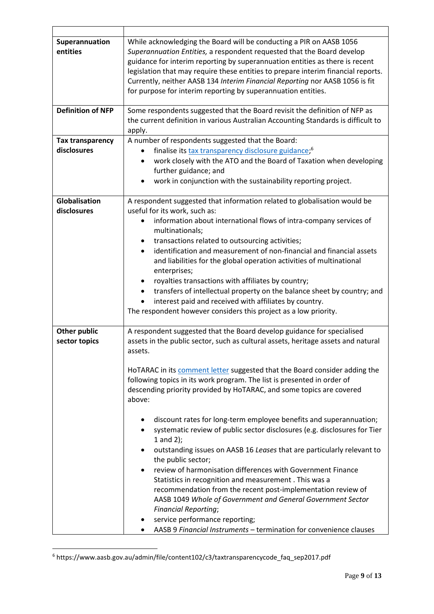| Superannuation<br>entities             | While acknowledging the Board will be conducting a PIR on AASB 1056<br>Superannuation Entities, a respondent requested that the Board develop<br>guidance for interim reporting by superannuation entities as there is recent<br>legislation that may require these entities to prepare interim financial reports.<br>Currently, neither AASB 134 Interim Financial Reporting nor AASB 1056 is fit<br>for purpose for interim reporting by superannuation entities.                                                                                                                                                                                                                                                                                                                                                                                                                                                                                                                                                                                                                        |
|----------------------------------------|--------------------------------------------------------------------------------------------------------------------------------------------------------------------------------------------------------------------------------------------------------------------------------------------------------------------------------------------------------------------------------------------------------------------------------------------------------------------------------------------------------------------------------------------------------------------------------------------------------------------------------------------------------------------------------------------------------------------------------------------------------------------------------------------------------------------------------------------------------------------------------------------------------------------------------------------------------------------------------------------------------------------------------------------------------------------------------------------|
| <b>Definition of NFP</b>               | Some respondents suggested that the Board revisit the definition of NFP as<br>the current definition in various Australian Accounting Standards is difficult to<br>apply.                                                                                                                                                                                                                                                                                                                                                                                                                                                                                                                                                                                                                                                                                                                                                                                                                                                                                                                  |
| <b>Tax transparency</b><br>disclosures | A number of respondents suggested that the Board:<br>finalise its tax transparency disclosure guidance; <sup>6</sup><br>$\bullet$<br>work closely with the ATO and the Board of Taxation when developing<br>$\bullet$<br>further guidance; and<br>work in conjunction with the sustainability reporting project.                                                                                                                                                                                                                                                                                                                                                                                                                                                                                                                                                                                                                                                                                                                                                                           |
| Globalisation<br>disclosures           | A respondent suggested that information related to globalisation would be<br>useful for its work, such as:<br>information about international flows of intra-company services of<br>multinationals;<br>transactions related to outsourcing activities;<br>٠<br>identification and measurement of non-financial and financial assets<br>$\bullet$<br>and liabilities for the global operation activities of multinational<br>enterprises;<br>royalties transactions with affiliates by country;<br>٠<br>transfers of intellectual property on the balance sheet by country; and<br>interest paid and received with affiliates by country.<br>The respondent however considers this project as a low priority.                                                                                                                                                                                                                                                                                                                                                                               |
| Other public<br>sector topics          | A respondent suggested that the Board develop guidance for specialised<br>assets in the public sector, such as cultural assets, heritage assets and natural<br>assets.<br>HOTARAC in its comment letter suggested that the Board consider adding the<br>following topics in its work program. The list is presented in order of<br>descending priority provided by HoTARAC, and some topics are covered<br>above:<br>discount rates for long-term employee benefits and superannuation;<br>systematic review of public sector disclosures (e.g. disclosures for Tier<br>$1$ and $2$ );<br>outstanding issues on AASB 16 Leases that are particularly relevant to<br>the public sector;<br>review of harmonisation differences with Government Finance<br>٠<br>Statistics in recognition and measurement . This was a<br>recommendation from the recent post-implementation review of<br>AASB 1049 Whole of Government and General Government Sector<br><b>Financial Reporting;</b><br>service performance reporting;<br>AASB 9 Financial Instruments - termination for convenience clauses |

<sup>6</sup> https://www.aasb.gov.au/admin/file/content102/c3/taxtransparencycode\_faq\_sep2017.pdf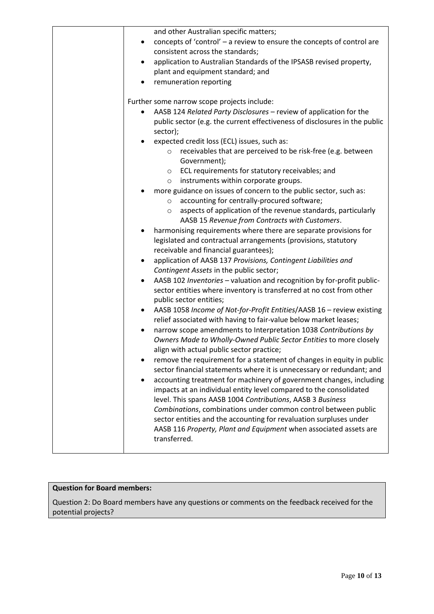| and other Australian specific matters;                                                                                                         |
|------------------------------------------------------------------------------------------------------------------------------------------------|
| concepts of 'control' - a review to ensure the concepts of control are<br>$\bullet$                                                            |
| consistent across the standards;                                                                                                               |
| application to Australian Standards of the IPSASB revised property,<br>٠                                                                       |
| plant and equipment standard; and                                                                                                              |
| remuneration reporting                                                                                                                         |
|                                                                                                                                                |
| Further some narrow scope projects include:                                                                                                    |
| AASB 124 Related Party Disclosures - review of application for the<br>٠                                                                        |
| public sector (e.g. the current effectiveness of disclosures in the public                                                                     |
| sector);                                                                                                                                       |
| expected credit loss (ECL) issues, such as:<br>٠                                                                                               |
| receivables that are perceived to be risk-free (e.g. between<br>$\circ$                                                                        |
| Government);                                                                                                                                   |
| ECL requirements for statutory receivables; and<br>$\circ$                                                                                     |
| instruments within corporate groups.<br>$\circ$                                                                                                |
| more guidance on issues of concern to the public sector, such as:                                                                              |
| accounting for centrally-procured software;<br>$\circ$                                                                                         |
| aspects of application of the revenue standards, particularly<br>$\circ$                                                                       |
| AASB 15 Revenue from Contracts with Customers.                                                                                                 |
| harmonising requirements where there are separate provisions for                                                                               |
| legislated and contractual arrangements (provisions, statutory                                                                                 |
| receivable and financial guarantees);                                                                                                          |
| application of AASB 137 Provisions, Contingent Liabilities and<br>$\bullet$                                                                    |
| Contingent Assets in the public sector;                                                                                                        |
| AASB 102 Inventories - valuation and recognition by for-profit public-<br>٠                                                                    |
| sector entities where inventory is transferred at no cost from other                                                                           |
| public sector entities;                                                                                                                        |
| AASB 1058 Income of Not-for-Profit Entities/AASB 16 - review existing                                                                          |
| relief associated with having to fair-value below market leases;                                                                               |
| narrow scope amendments to Interpretation 1038 Contributions by<br>$\bullet$                                                                   |
| Owners Made to Wholly-Owned Public Sector Entities to more closely                                                                             |
| align with actual public sector practice;                                                                                                      |
| remove the requirement for a statement of changes in equity in public<br>sector financial statements where it is unnecessary or redundant; and |
| accounting treatment for machinery of government changes, including<br>$\bullet$                                                               |
| impacts at an individual entity level compared to the consolidated                                                                             |
| level. This spans AASB 1004 Contributions, AASB 3 Business                                                                                     |
| Combinations, combinations under common control between public                                                                                 |
| sector entities and the accounting for revaluation surpluses under                                                                             |
| AASB 116 Property, Plant and Equipment when associated assets are                                                                              |
| transferred.                                                                                                                                   |
|                                                                                                                                                |

## **Question for Board members:**

Question 2: Do Board members have any questions or comments on the feedback received for the potential projects?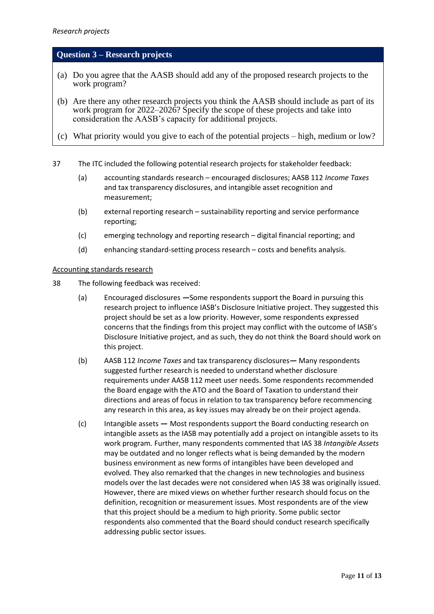## **Question 3 – Research projects**

- (a) Do you agree that the AASB should add any of the proposed research projects to the work program?
- (b) Are there any other research projects you think the AASB should include as part of its work program for 2022–2026? Specify the scope of these projects and take into consideration the AASB's capacity for additional projects.
- (c) What priority would you give to each of the potential projects high, medium or low?
- 37 The ITC included the following potential research projects for stakeholder feedback:
	- (a) accounting standards research encouraged disclosures; AASB 112 *Income Taxes* and tax transparency disclosures, and intangible asset recognition and measurement;
	- (b) external reporting research sustainability reporting and service performance reporting;
	- (c) emerging technology and reporting research digital financial reporting; and
	- (d) enhancing standard-setting process research costs and benefits analysis.

#### Accounting standards research

- 38 The following feedback was received:
	- (a) Encouraged disclosures *—*Some respondents support the Board in pursuing this research project to influence IASB's Disclosure Initiative project. They suggested this project should be set as a low priority. However, some respondents expressed concerns that the findings from this project may conflict with the outcome of IASB's Disclosure Initiative project, and as such, they do not think the Board should work on this project.
	- (b) AASB 112 *Income Taxes* and tax transparency disclosures*—* Many respondents suggested further research is needed to understand whether disclosure requirements under AASB 112 meet user needs. Some respondents recommended the Board engage with the ATO and the Board of Taxation to understand their directions and areas of focus in relation to tax transparency before recommencing any research in this area, as key issues may already be on their project agenda.
	- (c) Intangible assets *—* Most respondents support the Board conducting research on intangible assets as the IASB may potentially add a project on intangible assets to its work program. Further, many respondents commented that IAS 38 *Intangible Assets* may be outdated and no longer reflects what is being demanded by the modern business environment as new forms of intangibles have been developed and evolved. They also remarked that the changes in new technologies and business models over the last decades were not considered when IAS 38 was originally issued. However, there are mixed views on whether further research should focus on the definition, recognition or measurement issues. Most respondents are of the view that this project should be a medium to high priority. Some public sector respondents also commented that the Board should conduct research specifically addressing public sector issues.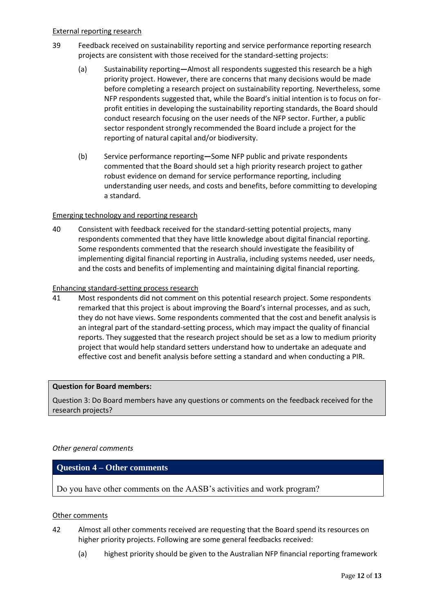- 39 Feedback received on sustainability reporting and service performance reporting research projects are consistent with those received for the standard-setting projects:
	- (a) Sustainability reporting*—*Almost all respondents suggested this research be a high priority project. However, there are concerns that many decisions would be made before completing a research project on sustainability reporting. Nevertheless, some NFP respondents suggested that, while the Board's initial intention is to focus on forprofit entities in developing the sustainability reporting standards, the Board should conduct research focusing on the user needs of the NFP sector. Further, a public sector respondent strongly recommended the Board include a project for the reporting of natural capital and/or biodiversity.
	- (b) Service performance reporting*—*Some NFP public and private respondents commented that the Board should set a high priority research project to gather robust evidence on demand for service performance reporting, including understanding user needs, and costs and benefits, before committing to developing a standard.

## Emerging technology and reporting research

40 Consistent with feedback received for the standard-setting potential projects, many respondents commented that they have little knowledge about digital financial reporting. Some respondents commented that the research should investigate the feasibility of implementing digital financial reporting in Australia, including systems needed, user needs, and the costs and benefits of implementing and maintaining digital financial reporting.

## Enhancing standard-setting process research

41 Most respondents did not comment on this potential research project. Some respondents remarked that this project is about improving the Board's internal processes, and as such, they do not have views. Some respondents commented that the cost and benefit analysis is an integral part of the standard-setting process, which may impact the quality of financial reports. They suggested that the research project should be set as a low to medium priority project that would help standard setters understand how to undertake an adequate and effective cost and benefit analysis before setting a standard and when conducting a PIR.

## **Question for Board members:**

Question 3: Do Board members have any questions or comments on the feedback received for the research projects?

## *Other general comments*

## **Question 4 – Other comments**

Do you have other comments on the AASB's activities and work program?

## Other comments

- 42 Almost all other comments received are requesting that the Board spend its resources on higher priority projects. Following are some general feedbacks received:
	- (a) highest priority should be given to the Australian NFP financial reporting framework